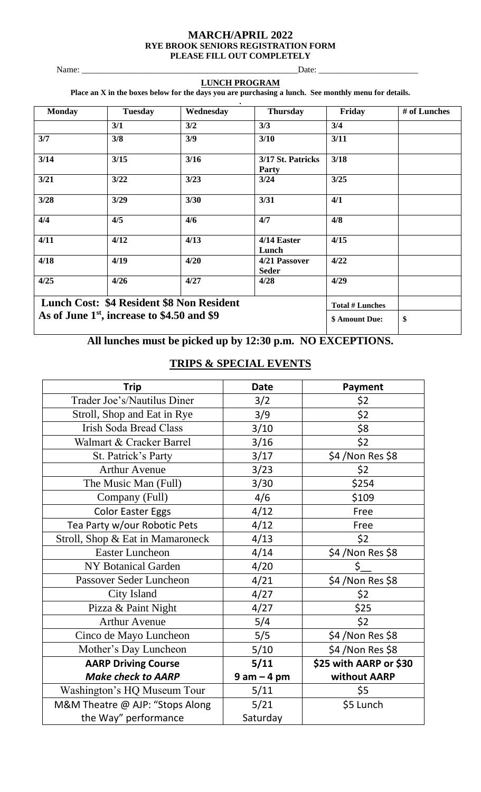#### **MARCH/APRIL 2022 RYE BROOK SENIORS REGISTRATION FORM PLEASE FILL OUT COMPLETELY**

Name: \_\_\_\_\_\_\_\_\_\_\_\_\_\_\_\_\_\_\_\_\_\_\_\_\_\_\_\_\_\_\_\_\_\_\_\_\_\_\_\_\_\_\_\_\_\_\_\_\_\_Date: \_\_\_\_\_\_\_\_\_\_\_\_\_\_\_\_\_\_\_\_\_\_\_

#### **LUNCH PROGRAM**

**Place an X in the boxes below for the days you are purchasing a lunch. See monthly menu for details.**

| <b>Monday</b>                              | <b>Tuesday</b> | Wednesday | <b>Thursday</b>                   | Friday                 | # of Lunches |
|--------------------------------------------|----------------|-----------|-----------------------------------|------------------------|--------------|
|                                            | 3/1            | 3/2       | 3/3                               | 3/4                    |              |
| 3/7                                        | 3/8            | 3/9       | 3/10                              | 3/11                   |              |
| 3/14                                       | 3/15           | 3/16      | 3/17 St. Patricks<br><b>Party</b> | 3/18                   |              |
| 3/21                                       | 3/22           | 3/23      | 3/24                              | 3/25                   |              |
| 3/28                                       | 3/29           | 3/30      | 3/31                              | 4/1                    |              |
| 4/4                                        | 4/5            | 4/6       | 4/7                               | 4/8                    |              |
| 4/11                                       | 4/12           | 4/13      | 4/14 Easter<br>Lunch              | 4/15                   |              |
| 4/18                                       | 4/19           | 4/20      | 4/21 Passover<br><b>Seder</b>     | 4/22                   |              |
| 4/25                                       | 4/26           | 4/27      | 4/28                              | 4/29                   |              |
| Lunch Cost: \$4 Resident \$8 Non Resident  |                |           |                                   | <b>Total # Lunches</b> |              |
| As of June 1st, increase to \$4.50 and \$9 |                |           | \$ Amount Due:                    | \$                     |              |

# **All lunches must be picked up by 12:30 p.m. NO EXCEPTIONS.**

# **TRIPS & SPECIAL EVENTS**

| Trip                             | <b>Date</b>     | Payment                |  |
|----------------------------------|-----------------|------------------------|--|
| Trader Joe's/Nautilus Diner      | 3/2             | \$2                    |  |
| Stroll, Shop and Eat in Rye      | 3/9             | \$2                    |  |
| <b>Irish Soda Bread Class</b>    | 3/10            | \$8                    |  |
| Walmart & Cracker Barrel         | 3/16            | \$2                    |  |
| St. Patrick's Party              | 3/17            | \$4 / Non Res \$8      |  |
| <b>Arthur Avenue</b>             | 3/23            | \$2                    |  |
| The Music Man (Full)             | 3/30            | \$254                  |  |
| Company (Full)                   | 4/6             | \$109                  |  |
| <b>Color Easter Eggs</b>         | 4/12            | Free                   |  |
| Tea Party w/our Robotic Pets     | 4/12            | Free                   |  |
| Stroll, Shop & Eat in Mamaroneck | 4/13            | \$2                    |  |
| <b>Easter Luncheon</b>           | 4/14            | \$4 / Non Res \$8      |  |
| <b>NY Botanical Garden</b>       | 4/20            | \$                     |  |
| Passover Seder Luncheon          | 4/21            | \$4 / Non Res \$8      |  |
| City Island                      | 4/27            | \$2                    |  |
| Pizza & Paint Night              | 4/27            | \$25                   |  |
| <b>Arthur Avenue</b>             | 5/4             | \$2                    |  |
| Cinco de Mayo Luncheon           | 5/5             | \$4 / Non Res \$8      |  |
| Mother's Day Luncheon            | 5/10            | \$4 / Non Res \$8      |  |
| <b>AARP Driving Course</b>       | 5/11            | \$25 with AARP or \$30 |  |
| <b>Make check to AARP</b>        | $9$ am $-$ 4 pm | without AARP           |  |
| Washington's HQ Museum Tour      | 5/11            | \$5                    |  |
| M&M Theatre @ AJP: "Stops Along  | 5/21            | \$5 Lunch              |  |
| the Way" performance             | Saturday        |                        |  |